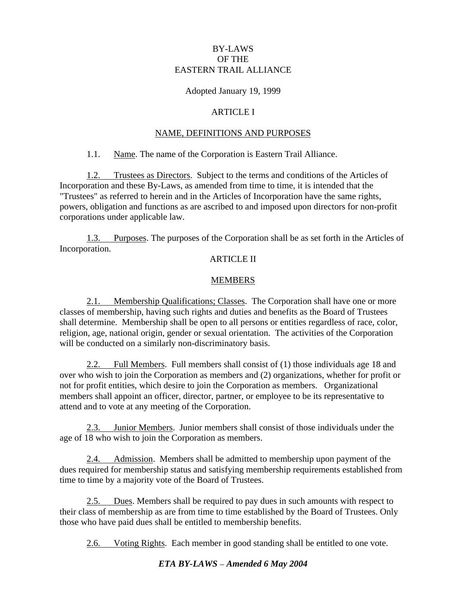### BY-LAWS OF THE EASTERN TRAIL ALLIANCE

# Adopted January 19, 1999

### ARTICLE I

### NAME, DEFINITIONS AND PURPOSES

### 1.1. Name. The name of the Corporation is Eastern Trail Alliance.

1.2. Trustees as Directors. Subject to the terms and conditions of the Articles of Incorporation and these By-Laws, as amended from time to time, it is intended that the "Trustees" as referred to herein and in the Articles of Incorporation have the same rights, powers, obligation and functions as are ascribed to and imposed upon directors for non-profit corporations under applicable law.

1.3. Purposes. The purposes of the Corporation shall be as set forth in the Articles of Incorporation.

#### ARTICLE II

## **MEMBERS**

2.1. Membership Qualifications; Classes. The Corporation shall have one or more classes of membership, having such rights and duties and benefits as the Board of Trustees shall determine. Membership shall be open to all persons or entities regardless of race, color, religion, age, national origin, gender or sexual orientation. The activities of the Corporation will be conducted on a similarly non-discriminatory basis.

2.2. Full Members. Full members shall consist of (1) those individuals age 18 and over who wish to join the Corporation as members and (2) organizations, whether for profit or not for profit entities, which desire to join the Corporation as members. Organizational members shall appoint an officer, director, partner, or employee to be its representative to attend and to vote at any meeting of the Corporation.

2.3. Junior Members. Junior members shall consist of those individuals under the age of 18 who wish to join the Corporation as members.

2.4. Admission. Members shall be admitted to membership upon payment of the dues required for membership status and satisfying membership requirements established from time to time by a majority vote of the Board of Trustees.

2.5. Dues. Members shall be required to pay dues in such amounts with respect to their class of membership as are from time to time established by the Board of Trustees. Only those who have paid dues shall be entitled to membership benefits.

2.6. Voting Rights. Each member in good standing shall be entitled to one vote.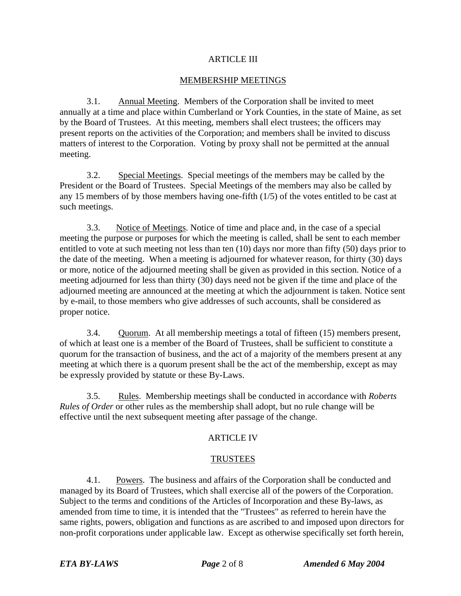### ARTICLE III

### MEMBERSHIP MEETINGS

3.1. Annual Meeting. Members of the Corporation shall be invited to meet annually at a time and place within Cumberland or York Counties, in the state of Maine, as set by the Board of Trustees. At this meeting, members shall elect trustees; the officers may present reports on the activities of the Corporation; and members shall be invited to discuss matters of interest to the Corporation. Voting by proxy shall not be permitted at the annual meeting.

3.2. Special Meetings. Special meetings of the members may be called by the President or the Board of Trustees. Special Meetings of the members may also be called by any 15 members of by those members having one-fifth (1/5) of the votes entitled to be cast at such meetings.

3.3. Notice of Meetings. Notice of time and place and, in the case of a special meeting the purpose or purposes for which the meeting is called, shall be sent to each member entitled to vote at such meeting not less than ten (10) days nor more than fifty (50) days prior to the date of the meeting. When a meeting is adjourned for whatever reason, for thirty (30) days or more, notice of the adjourned meeting shall be given as provided in this section. Notice of a meeting adjourned for less than thirty (30) days need not be given if the time and place of the adjourned meeting are announced at the meeting at which the adjournment is taken. Notice sent by e-mail, to those members who give addresses of such accounts, shall be considered as proper notice.

3.4. Quorum. At all membership meetings a total of fifteen (15) members present, of which at least one is a member of the Board of Trustees, shall be sufficient to constitute a quorum for the transaction of business, and the act of a majority of the members present at any meeting at which there is a quorum present shall be the act of the membership, except as may be expressly provided by statute or these By-Laws.

3.5. Rules. Membership meetings shall be conducted in accordance with *Roberts Rules of Order* or other rules as the membership shall adopt, but no rule change will be effective until the next subsequent meeting after passage of the change.

## ARTICLE IV

### TRUSTEES

4.1. Powers. The business and affairs of the Corporation shall be conducted and managed by its Board of Trustees, which shall exercise all of the powers of the Corporation. Subject to the terms and conditions of the Articles of Incorporation and these By-laws, as amended from time to time, it is intended that the "Trustees" as referred to herein have the same rights, powers, obligation and functions as are ascribed to and imposed upon directors for non-profit corporations under applicable law. Except as otherwise specifically set forth herein,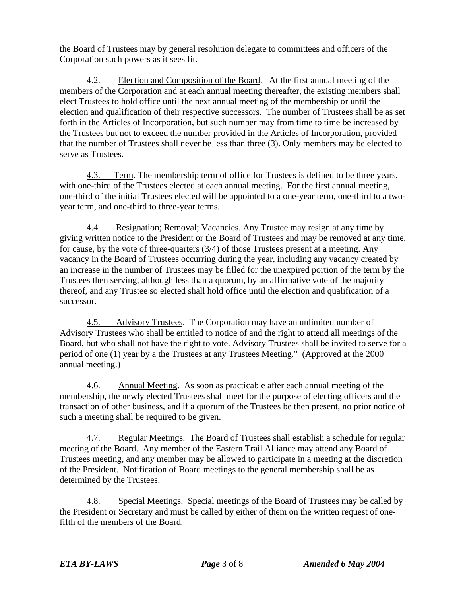the Board of Trustees may by general resolution delegate to committees and officers of the Corporation such powers as it sees fit.

4.2. Election and Composition of the Board. At the first annual meeting of the members of the Corporation and at each annual meeting thereafter, the existing members shall elect Trustees to hold office until the next annual meeting of the membership or until the election and qualification of their respective successors. The number of Trustees shall be as set forth in the Articles of Incorporation, but such number may from time to time be increased by the Trustees but not to exceed the number provided in the Articles of Incorporation, provided that the number of Trustees shall never be less than three (3). Only members may be elected to serve as Trustees.

4.3. Term. The membership term of office for Trustees is defined to be three years, with one-third of the Trustees elected at each annual meeting. For the first annual meeting, one-third of the initial Trustees elected will be appointed to a one-year term, one-third to a two year term, and one-third to three-year terms.

4.4. Resignation; Removal; Vacancies. Any Trustee may resign at any time by giving written notice to the President or the Board of Trustees and may be removed at any time, for cause, by the vote of three-quarters (3/4) of those Trustees present at a meeting. Any vacancy in the Board of Trustees occurring during the year, including any vacancy created by an increase in the number of Trustees may be filled for the unexpired portion of the term by the Trustees then serving, although less than a quorum, by an affirmative vote of the majority thereof, and any Trustee so elected shall hold office until the election and qualification of a successor.

4.5. Advisory Trustees. The Corporation may have an unlimited number of Advisory Trustees who shall be entitled to notice of and the right to attend all meetings of the Board, but who shall not have the right to vote. Advisory Trustees shall be invited to serve for a period of one (1) year by a the Trustees at any Trustees Meeting." (Approved at the 2000 annual meeting.)

4.6. Annual Meeting. As soon as practicable after each annual meeting of the membership, the newly elected Trustees shall meet for the purpose of electing officers and the transaction of other business, and if a quorum of the Trustees be then present, no prior notice of such a meeting shall be required to be given.

4.7. Regular Meetings. The Board of Trustees shall establish a schedule for regular meeting of the Board. Any member of the Eastern Trail Alliance may attend any Board of Trustees meeting, and any member may be allowed to participate in a meeting at the discretion of the President. Notification of Board meetings to the general membership shall be as determined by the Trustees.

4.8. Special Meetings. Special meetings of the Board of Trustees may be called by the President or Secretary and must be called by either of them on the written request of onefifth of the members of the Board.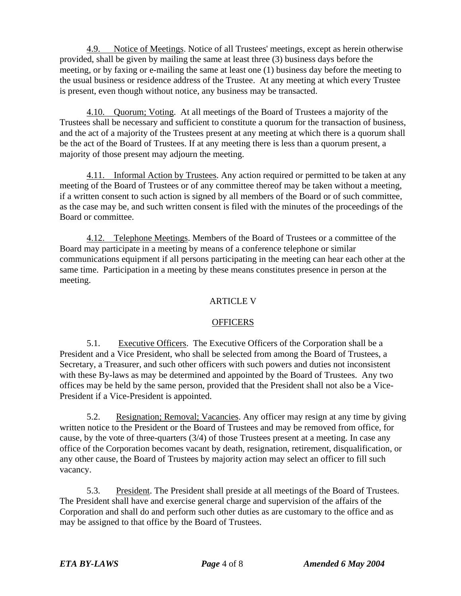4.9. Notice of Meetings. Notice of all Trustees' meetings, except as herein otherwise provided, shall be given by mailing the same at least three (3) business days before the meeting, or by faxing or e-mailing the same at least one (1) business day before the meeting to the usual business or residence address of the Trustee. At any meeting at which every Trustee is present, even though without notice, any business may be transacted.

4.10. Quorum; Voting. At all meetings of the Board of Trustees a majority of the Trustees shall be necessary and sufficient to constitute a quorum for the transaction of business, and the act of a majority of the Trustees present at any meeting at which there is a quorum shall be the act of the Board of Trustees. If at any meeting there is less than a quorum present, a majority of those present may adjourn the meeting.

4.11. Informal Action by Trustees. Any action required or permitted to be taken at any meeting of the Board of Trustees or of any committee thereof may be taken without a meeting, if a written consent to such action is signed by all members of the Board or of such committee, as the case may be, and such written consent is filed with the minutes of the proceedings of the Board or committee.

4.12. Telephone Meetings. Members of the Board of Trustees or a committee of the Board may participate in a meeting by means of a conference telephone or similar communications equipment if all persons participating in the meeting can hear each other at the same time. Participation in a meeting by these means constitutes presence in person at the meeting.

# ARTICLE V

## **OFFICERS OFFICERS**

5.1. Executive Officers. The Executive Officers of the Corporation shall be a President and a Vice President, who shall be selected from among the Board of Trustees, a Secretary, a Treasurer, and such other officers with such powers and duties not inconsistent with these By-laws as may be determined and appointed by the Board of Trustees. Any two offices may be held by the same person, provided that the President shall not also be a Vice- President if a Vice-President is appointed.

5.2. Resignation; Removal; Vacancies. Any officer may resign at any time by giving written notice to the President or the Board of Trustees and may be removed from office, for cause, by the vote of three-quarters (3/4) of those Trustees present at a meeting. In case any office of the Corporation becomes vacant by death, resignation, retirement, disqualification, or any other cause, the Board of Trustees by majority action may select an officer to fill such vacancy.

5.3. President. The President shall preside at all meetings of the Board of Trustees. The President shall have and exercise general charge and supervision of the affairs of the Corporation and shall do and perform such other duties as are customary to the office and as may be assigned to that office by the Board of Trustees.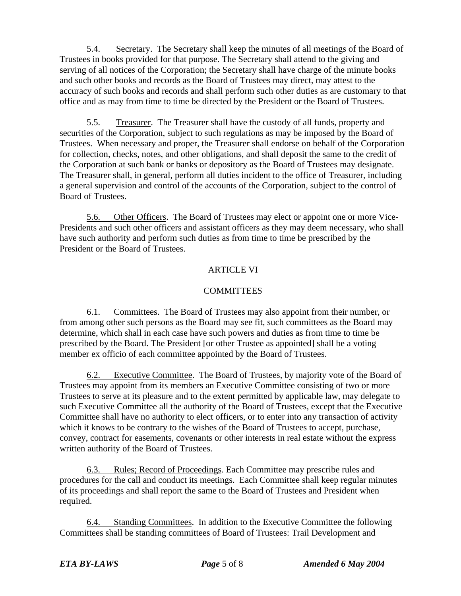5.4. Secretary. The Secretary shall keep the minutes of all meetings of the Board of Trustees in books provided for that purpose. The Secretary shall attend to the giving and serving of all notices of the Corporation; the Secretary shall have charge of the minute books and such other books and records as the Board of Trustees may direct, may attest to the accuracy of such books and records and shall perform such other duties as are customary to that office and as may from time to time be directed by the President or the Board of Trustees.

5.5. Treasurer. The Treasurer shall have the custody of all funds, property and securities of the Corporation, subject to such regulations as may be imposed by the Board of Trustees. When necessary and proper, the Treasurer shall endorse on behalf of the Corporation for collection, checks, notes, and other obligations, and shall deposit the same to the credit of the Corporation at such bank or banks or depository as the Board of Trustees may designate. The Treasurer shall, in general, perform all duties incident to the office of Treasurer, including a general supervision and control of the accounts of the Corporation, subject to the control of Board of Trustees.

5.6. Other Officers. The Board of Trustees may elect or appoint one or more Vice- Presidents and such other officers and assistant officers as they may deem necessary, who shall have such authority and perform such duties as from time to time be prescribed by the President or the Board of Trustees.

# ARTICLE VI

## COMMITTEES

6.1. Committees. The Board of Trustees may also appoint from their number, or from among other such persons as the Board may see fit, such committees as the Board may determine, which shall in each case have such powers and duties as from time to time be prescribed by the Board. The President [or other Trustee as appointed] shall be a voting member ex officio of each committee appointed by the Board of Trustees.

6.2. Executive Committee. The Board of Trustees, by majority vote of the Board of Trustees may appoint from its members an Executive Committee consisting of two or more Trustees to serve at its pleasure and to the extent permitted by applicable law, may delegate to such Executive Committee all the authority of the Board of Trustees, except that the Executive Committee shall have no authority to elect officers, or to enter into any transaction of activity which it knows to be contrary to the wishes of the Board of Trustees to accept, purchase, convey, contract for easements, covenants or other interests in real estate without the express written authority of the Board of Trustees.

6.3. Rules; Record of Proceedings. Each Committee may prescribe rules and procedures for the call and conduct its meetings. Each Committee shall keep regular minutes of its proceedings and shall report the same to the Board of Trustees and President when required. The contract of the contract of the contract of the contract of the contract of the contract of the contract of the contract of the contract of the contract of the contract of the contract of the contract of the

6.4. Standing Committees. In addition to the Executive Committee the following Committees shall be standing committees of Board of Trustees: Trail Development and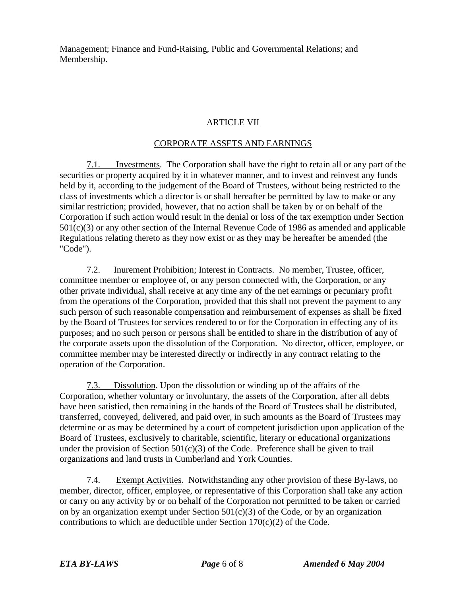Management; Finance and Fund-Raising, Public and Governmental Relations; and Membership.

### ARTICLE VII

### CORPORATE ASSETS AND EARNINGS

7.1. Investments. The Corporation shall have the right to retain all or any part of the securities or property acquired by it in whatever manner, and to invest and reinvest any funds held by it, according to the judgement of the Board of Trustees, without being restricted to the class of investments which a director is or shall hereafter be permitted by law to make or any similar restriction; provided, however, that no action shall be taken by or on behalf of the Corporation if such action would result in the denial or loss of the tax exemption under Section 501(c)(3) or any other section of the Internal Revenue Code of 1986 as amended and applicable Regulations relating thereto as they now exist or as they may be hereafter be amended (the "Code").

7.2. Inurement Prohibition; Interest in Contracts. No member, Trustee, officer, committee member or employee of, or any person connected with, the Corporation, or any other private individual, shall receive at any time any of the net earnings or pecuniary profit from the operations of the Corporation, provided that this shall not prevent the payment to any such person of such reasonable compensation and reimbursement of expenses as shall be fixed by the Board of Trustees for services rendered to or for the Corporation in effecting any of its purposes; and no such person or persons shall be entitled to share in the distribution of any of the corporate assets upon the dissolution of the Corporation. No director, officer, employee, or committee member may be interested directly or indirectly in any contract relating to the operation of the Corporation.

7.3. Dissolution. Upon the dissolution or winding up of the affairs of the Corporation, whether voluntary or involuntary, the assets of the Corporation, after all debts have been satisfied, then remaining in the hands of the Board of Trustees shall be distributed, transferred, conveyed, delivered, and paid over, in such amounts as the Board of Trustees may determine or as may be determined by a court of competent jurisdiction upon application of the Board of Trustees, exclusively to charitable, scientific, literary or educational organizations under the provision of Section  $501(c)(3)$  of the Code. Preference shall be given to trail organizations and land trusts in Cumberland and York Counties.

7.4. Exempt Activities. Notwithstanding any other provision of these By-laws, no member, director, officer, employee, or representative of this Corporation shall take any action or carry on any activity by or on behalf of the Corporation not permitted to be taken or carried on by an organization exempt under Section  $501(c)(3)$  of the Code, or by an organization contributions to which are deductible under Section  $170(c)(2)$  of the Code.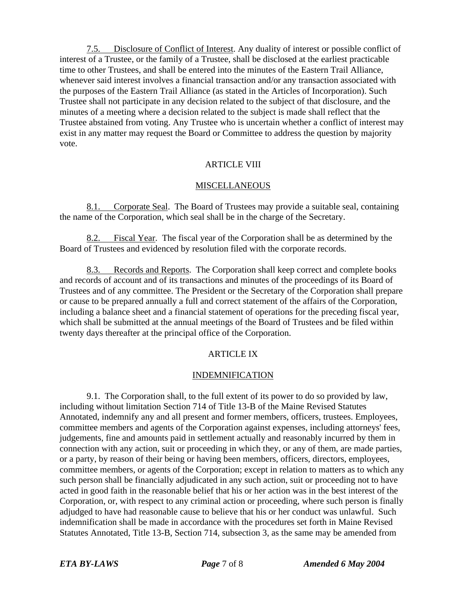7.5. Disclosure of Conflict of Interest. Any duality of interest or possible conflict of interest of a Trustee, or the family of a Trustee, shall be disclosed at the earliest practicable time to other Trustees, and shall be entered into the minutes of the Eastern Trail Alliance, whenever said interest involves a financial transaction and/or any transaction associated with the purposes of the Eastern Trail Alliance (as stated in the Articles of Incorporation). Such Trustee shall not participate in any decision related to the subject of that disclosure, and the minutes of a meeting where a decision related to the subject is made shall reflect that the Trustee abstained from voting. Any Trustee who is uncertain whether a conflict of interest may exist in any matter may request the Board or Committee to address the question by majority vote.

### ARTICLE VIII

#### MISCELLANEOUS

8.1. Corporate Seal. The Board of Trustees may provide a suitable seal, containing the name of the Corporation, which seal shall be in the charge of the Secretary.

8.2. Fiscal Year. The fiscal year of the Corporation shall be as determined by the Board of Trustees and evidenced by resolution filed with the corporate records.

8.3. Records and Reports. The Corporation shall keep correct and complete books and records of account and of its transactions and minutes of the proceedings of its Board of Trustees and of any committee. The President or the Secretary of the Corporation shall prepare or cause to be prepared annually a full and correct statement of the affairs of the Corporation, including a balance sheet and a financial statement of operations for the preceding fiscal year, which shall be submitted at the annual meetings of the Board of Trustees and be filed within twenty days thereafter at the principal office of the Corporation.

## ARTICLE IX

### INDEMNIFICATION

9.1. The Corporation shall, to the full extent of its power to do so provided by law, including without limitation Section 714 of Title 13-B of the Maine Revised Statutes Annotated, indemnify any and all present and former members, officers, trustees. Employees, committee members and agents of the Corporation against expenses, including attorneys' fees, judgements, fine and amounts paid in settlement actually and reasonably incurred by them in connection with any action, suit or proceeding in which they, or any of them, are made parties, or a party, by reason of their being or having been members, officers, directors, employees, committee members, or agents of the Corporation; except in relation to matters as to which any such person shall be financially adjudicated in any such action, suit or proceeding not to have acted in good faith in the reasonable belief that his or her action was in the best interest of the Corporation, or, with respect to any criminal action or proceeding, where such person is finally adjudged to have had reasonable cause to believe that his or her conduct was unlawful. Such indemnification shall be made in accordance with the procedures set forth in Maine Revised Statutes Annotated, Title 13-B, Section 714, subsection 3, as the same may be amended from